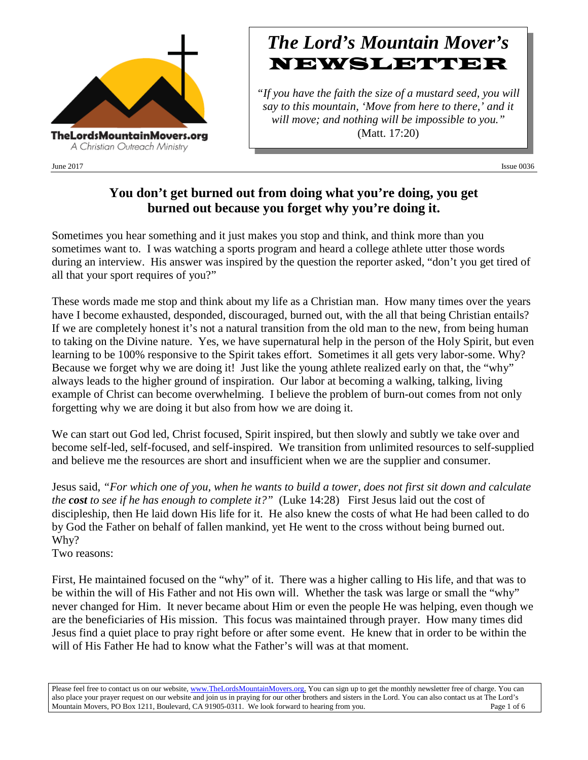

# *The Lord's Mountain Mover's* NEWSLETTER

*"If you have the faith the size of a mustard seed, you will say to this mountain, 'Move from here to there,' and it will move; and nothing will be impossible to you."* (Matt. 17:20)

June 2017 Issue 0036

# **You don't get burned out from doing what you're doing, you get burned out because you forget why you're doing it.**

Sometimes you hear something and it just makes you stop and think, and think more than you sometimes want to. I was watching a sports program and heard a college athlete utter those words during an interview. His answer was inspired by the question the reporter asked, "don't you get tired of all that your sport requires of you?"

These words made me stop and think about my life as a Christian man. How many times over the years have I become exhausted, desponded, discouraged, burned out, with the all that being Christian entails? If we are completely honest it's not a natural transition from the old man to the new, from being human to taking on the Divine nature. Yes, we have supernatural help in the person of the Holy Spirit, but even learning to be 100% responsive to the Spirit takes effort. Sometimes it all gets very labor-some. Why? Because we forget why we are doing it! Just like the young athlete realized early on that, the "why" always leads to the higher ground of inspiration. Our labor at becoming a walking, talking, living example of Christ can become overwhelming. I believe the problem of burn-out comes from not only forgetting why we are doing it but also from how we are doing it.

We can start out God led, Christ focused, Spirit inspired, but then slowly and subtly we take over and become self-led, self-focused, and self-inspired. We transition from unlimited resources to self-supplied and believe me the resources are short and insufficient when we are the supplier and consumer.

Jesus said, *"For which one of you, when he wants to build a tower, does not first sit down and calculate the cost to see if he has enough to complete it?"* (Luke 14:28) First Jesus laid out the cost of discipleship, then He laid down His life for it. He also knew the costs of what He had been called to do by God the Father on behalf of fallen mankind, yet He went to the cross without being burned out. Why?

Two reasons:

First, He maintained focused on the "why" of it. There was a higher calling to His life, and that was to be within the will of His Father and not His own will. Whether the task was large or small the "why" never changed for Him. It never became about Him or even the people He was helping, even though we are the beneficiaries of His mission. This focus was maintained through prayer. How many times did Jesus find a quiet place to pray right before or after some event. He knew that in order to be within the will of His Father He had to know what the Father's will was at that moment.

Please feel free to contact us on our website, ww[w.TheLordsMountainMovers.o](http://www.thelordsmountainmovers.org/)rg. You can sign up to get the monthly newsletter free of charge. You can also place your prayer request on our website and join us in praying for our other brothers and sisters in the Lord. You can also contact us at The Lord's Mountain Movers, PO Box 1211, Boulevard, CA 91905-0311. We look forward to hearing from you. Page 1 of 6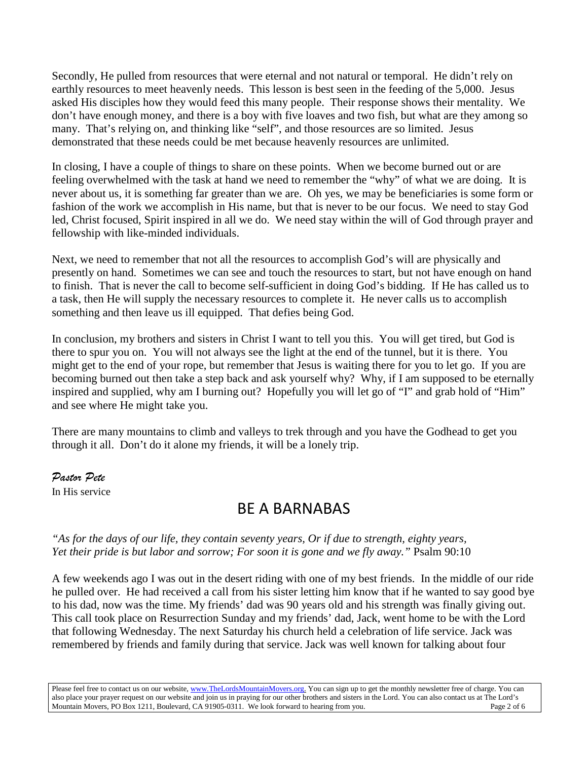Secondly, He pulled from resources that were eternal and not natural or temporal. He didn't rely on earthly resources to meet heavenly needs. This lesson is best seen in the feeding of the 5,000. Jesus asked His disciples how they would feed this many people. Their response shows their mentality. We don't have enough money, and there is a boy with five loaves and two fish, but what are they among so many. That's relying on, and thinking like "self", and those resources are so limited. Jesus demonstrated that these needs could be met because heavenly resources are unlimited.

In closing, I have a couple of things to share on these points. When we become burned out or are feeling overwhelmed with the task at hand we need to remember the "why" of what we are doing. It is never about us, it is something far greater than we are. Oh yes, we may be beneficiaries is some form or fashion of the work we accomplish in His name, but that is never to be our focus. We need to stay God led, Christ focused, Spirit inspired in all we do. We need stay within the will of God through prayer and fellowship with like-minded individuals.

Next, we need to remember that not all the resources to accomplish God's will are physically and presently on hand. Sometimes we can see and touch the resources to start, but not have enough on hand to finish. That is never the call to become self-sufficient in doing God's bidding. If He has called us to a task, then He will supply the necessary resources to complete it. He never calls us to accomplish something and then leave us ill equipped. That defies being God.

In conclusion, my brothers and sisters in Christ I want to tell you this. You will get tired, but God is there to spur you on. You will not always see the light at the end of the tunnel, but it is there. You might get to the end of your rope, but remember that Jesus is waiting there for you to let go. If you are becoming burned out then take a step back and ask yourself why? Why, if I am supposed to be eternally inspired and supplied, why am I burning out? Hopefully you will let go of "I" and grab hold of "Him" and see where He might take you.

There are many mountains to climb and valleys to trek through and you have the Godhead to get you through it all. Don't do it alone my friends, it will be a lonely trip.

#### *Pastor Pete*

In His service

# BE A BARNABAS

#### *"As for the days of our life, they contain seventy years, Or if due to strength, eighty years, Yet their pride is but labor and sorrow; For soon it is gone and we fly away."* Psalm 90:10

A few weekends ago I was out in the desert riding with one of my best friends. In the middle of our ride he pulled over. He had received a call from his sister letting him know that if he wanted to say good bye to his dad, now was the time. My friends' dad was 90 years old and his strength was finally giving out. This call took place on Resurrection Sunday and my friends' dad, Jack, went home to be with the Lord that following Wednesday. The next Saturday his church held a celebration of life service. Jack was remembered by friends and family during that service. Jack was well known for talking about four

Please feel free to contact us on our website, ww[w.TheLordsMountainMovers.o](http://www.thelordsmountainmovers.org/)rg. You can sign up to get the monthly newsletter free of charge. You can also place your prayer request on our website and join us in praying for our other brothers and sisters in the Lord. You can also contact us at The Lord's Mountain Movers, PO Box 1211, Boulevard, CA 91905-0311. We look forward to hearing from you. Page 2 of 6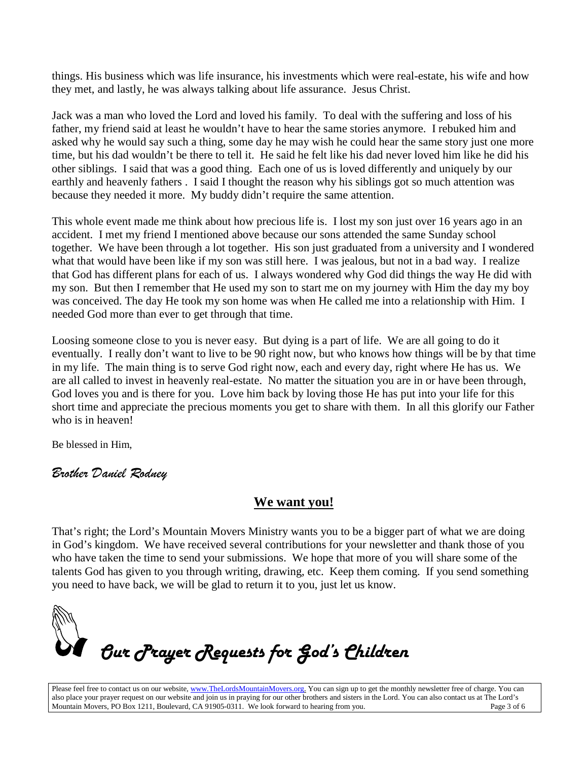things. His business which was life insurance, his investments which were real-estate, his wife and how they met, and lastly, he was always talking about life assurance. Jesus Christ.

Jack was a man who loved the Lord and loved his family. To deal with the suffering and loss of his father, my friend said at least he wouldn't have to hear the same stories anymore. I rebuked him and asked why he would say such a thing, some day he may wish he could hear the same story just one more time, but his dad wouldn't be there to tell it. He said he felt like his dad never loved him like he did his other siblings. I said that was a good thing. Each one of us is loved differently and uniquely by our earthly and heavenly fathers . I said I thought the reason why his siblings got so much attention was because they needed it more. My buddy didn't require the same attention.

This whole event made me think about how precious life is. I lost my son just over 16 years ago in an accident. I met my friend I mentioned above because our sons attended the same Sunday school together. We have been through a lot together. His son just graduated from a university and I wondered what that would have been like if my son was still here. I was jealous, but not in a bad way. I realize that God has different plans for each of us. I always wondered why God did things the way He did with my son. But then I remember that He used my son to start me on my journey with Him the day my boy was conceived. The day He took my son home was when He called me into a relationship with Him. I needed God more than ever to get through that time.

Loosing someone close to you is never easy. But dying is a part of life. We are all going to do it eventually. I really don't want to live to be 90 right now, but who knows how things will be by that time in my life. The main thing is to serve God right now, each and every day, right where He has us. We are all called to invest in heavenly real-estate. No matter the situation you are in or have been through, God loves you and is there for you. Love him back by loving those He has put into your life for this short time and appreciate the precious moments you get to share with them. In all this glorify our Father who is in heaven!

Be blessed in Him,

## *Brother Daniel Rodney*

## **We want you!**

That's right; the Lord's Mountain Movers Ministry wants you to be a bigger part of what we are doing in God's kingdom. We have received several contributions for your newsletter and thank those of you who have taken the time to send your submissions. We hope that more of you will share some of the talents God has given to you through writing, drawing, etc. Keep them coming. If you send something you need to have back, we will be glad to return it to you, just let us know.



Please feel free to contact us on our website, ww[w.TheLordsMountainMovers.o](http://www.thelordsmountainmovers.org/)rg. You can sign up to get the monthly newsletter free of charge. You can also place your prayer request on our website and join us in praying for our other brothers and sisters in the Lord. You can also contact us at The Lord's Mountain Movers, PO Box 1211, Boulevard, CA 91905-0311. We look forward to hearing from you. Page 3 of 6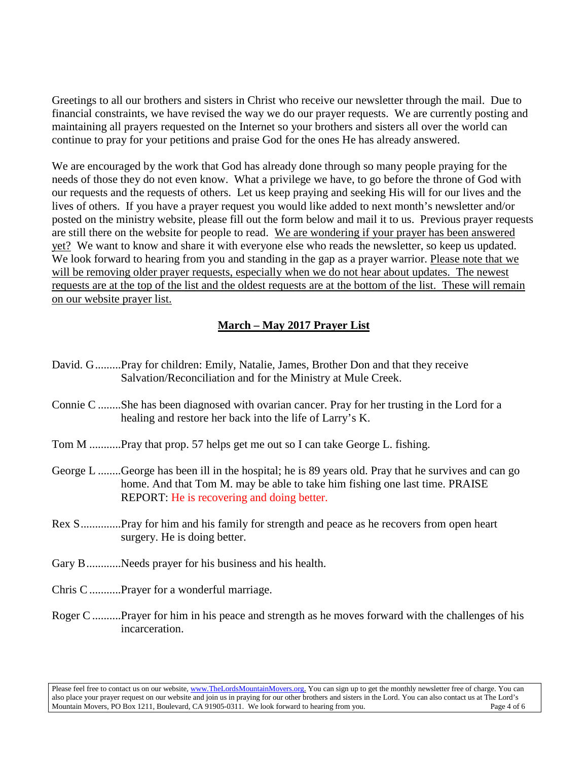Greetings to all our brothers and sisters in Christ who receive our newsletter through the mail. Due to financial constraints, we have revised the way we do our prayer requests. We are currently posting and maintaining all prayers requested on the Internet so your brothers and sisters all over the world can continue to pray for your petitions and praise God for the ones He has already answered.

We are encouraged by the work that God has already done through so many people praying for the needs of those they do not even know. What a privilege we have, to go before the throne of God with our requests and the requests of others. Let us keep praying and seeking His will for our lives and the lives of others. If you have a prayer request you would like added to next month's newsletter and/or posted on the ministry website, please fill out the form below and mail it to us. Previous prayer requests are still there on the website for people to read. We are wondering if your prayer has been answered yet? We want to know and share it with everyone else who reads the newsletter, so keep us updated. We look forward to hearing from you and standing in the gap as a prayer warrior. Please note that we will be removing older prayer requests, especially when we do not hear about updates. The newest requests are at the top of the list and the oldest requests are at the bottom of the list. These will remain on our website prayer list.

#### **March – May 2017 Prayer List**

- David. G.........Pray for children: Emily, Natalie, James, Brother Don and that they receive Salvation/Reconciliation and for the Ministry at Mule Creek.
- Connie C ........She has been diagnosed with ovarian cancer. Pray for her trusting in the Lord for a healing and restore her back into the life of Larry's K.
- Tom M ...........Pray that prop. 57 helps get me out so I can take George L. fishing.
- George L ........George has been ill in the hospital; he is 89 years old. Pray that he survives and can go home. And that Tom M. may be able to take him fishing one last time. PRAISE REPORT: He is recovering and doing better.
- Rex S..............Pray for him and his family for strength and peace as he recovers from open heart surgery. He is doing better.
- Gary B................. Needs prayer for his business and his health.
- Chris C...........Prayer for a wonderful marriage.
- Roger C..........Prayer for him in his peace and strength as he moves forward with the challenges of his incarceration.

Please feel free to contact us on our website, ww[w.TheLordsMountainMovers.o](http://www.thelordsmountainmovers.org/)rg. You can sign up to get the monthly newsletter free of charge. You can also place your prayer request on our website and join us in praying for our other brothers and sisters in the Lord. You can also contact us at The Lord's Mountain Movers, PO Box 1211, Boulevard, CA 91905-0311. We look forward to hearing from you.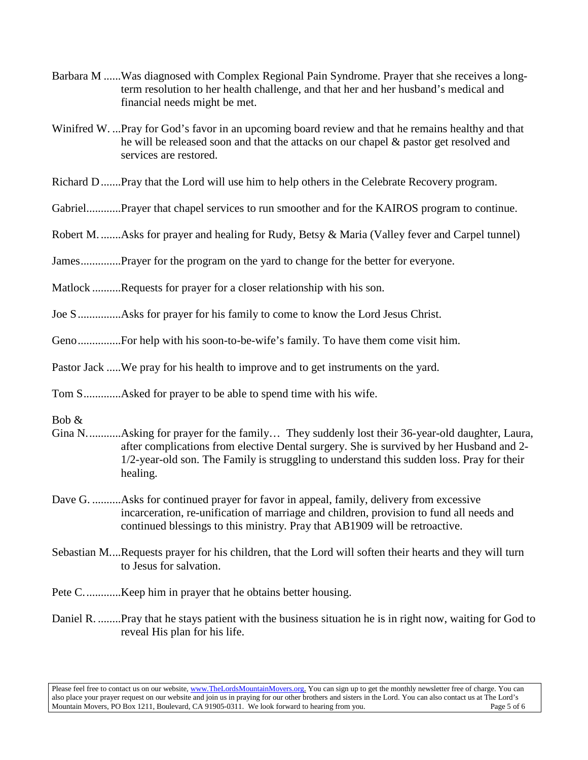- Barbara M ......Was diagnosed with Complex Regional Pain Syndrome. Prayer that she receives a longterm resolution to her health challenge, and that her and her husband's medical and financial needs might be met.
- Winifred W. ...Pray for God's favor in an upcoming board review and that he remains healthy and that he will be released soon and that the attacks on our chapel & pastor get resolved and services are restored.
- Richard D.......Pray that the Lord will use him to help others in the Celebrate Recovery program.
- Gabriel............Prayer that chapel services to run smoother and for the KAIROS program to continue.
- Robert M. .......Asks for prayer and healing for Rudy, Betsy & Maria (Valley fever and Carpel tunnel)
- James..............Prayer for the program on the yard to change for the better for everyone.
- Matlock ..........Requests for prayer for a closer relationship with his son.
- Joe S...............Asks for prayer for his family to come to know the Lord Jesus Christ.
- Geno...............For help with his soon-to-be-wife's family. To have them come visit him.
- Pastor Jack .....We pray for his health to improve and to get instruments on the yard.
- Tom S.............Asked for prayer to be able to spend time with his wife.
- Bob &
- Gina N............Asking for prayer for the family… They suddenly lost their 36-year-old daughter, Laura, after complications from elective Dental surgery. She is survived by her Husband and 2- 1/2-year-old son. The Family is struggling to understand this sudden loss. Pray for their healing.
- Dave G. ...........Asks for continued prayer for favor in appeal, family, delivery from excessive incarceration, re-unification of marriage and children, provision to fund all needs and continued blessings to this ministry. Pray that AB1909 will be retroactive.
- Sebastian M....Requests prayer for his children, that the Lord will soften their hearts and they will turn to Jesus for salvation.
- Pete C.............Keep him in prayer that he obtains better housing.
- Daniel R. ........Pray that he stays patient with the business situation he is in right now, waiting for God to reveal His plan for his life.

Please feel free to contact us on our website, ww[w.TheLordsMountainMovers.o](http://www.thelordsmountainmovers.org/)rg. You can sign up to get the monthly newsletter free of charge. You can also place your prayer request on our website and join us in praying for our other brothers and sisters in the Lord. You can also contact us at The Lord's Mountain Movers, PO Box 1211, Boulevard, CA 91905-0311. We look forward to hearing from you.